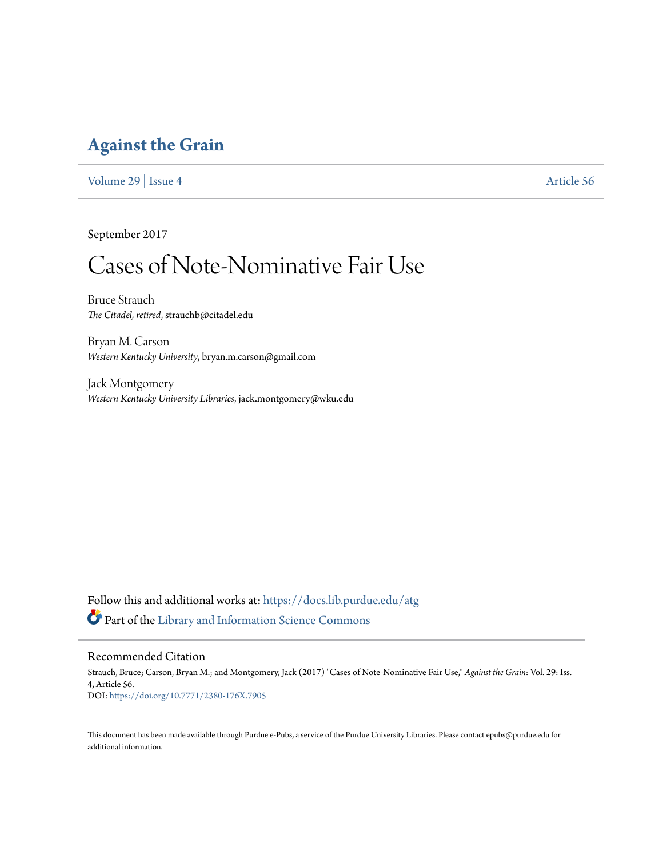### **[Against the Grain](https://docs.lib.purdue.edu/atg?utm_source=docs.lib.purdue.edu%2Fatg%2Fvol29%2Fiss4%2F56&utm_medium=PDF&utm_campaign=PDFCoverPages)**

[Volume 29](https://docs.lib.purdue.edu/atg/vol29?utm_source=docs.lib.purdue.edu%2Fatg%2Fvol29%2Fiss4%2F56&utm_medium=PDF&utm_campaign=PDFCoverPages) | [Issue 4](https://docs.lib.purdue.edu/atg/vol29/iss4?utm_source=docs.lib.purdue.edu%2Fatg%2Fvol29%2Fiss4%2F56&utm_medium=PDF&utm_campaign=PDFCoverPages) [Article 56](https://docs.lib.purdue.edu/atg/vol29/iss4/56?utm_source=docs.lib.purdue.edu%2Fatg%2Fvol29%2Fiss4%2F56&utm_medium=PDF&utm_campaign=PDFCoverPages)

September 2017

## Cases of Note-Nominative Fair Use

Bruce Strauch *The Citadel, retired*, strauchb@citadel.edu

Bryan M. Carson *Western Kentucky University*, bryan.m.carson@gmail.com

Jack Montgomery *Western Kentucky University Libraries*, jack.montgomery@wku.edu

Follow this and additional works at: [https://docs.lib.purdue.edu/atg](https://docs.lib.purdue.edu/atg?utm_source=docs.lib.purdue.edu%2Fatg%2Fvol29%2Fiss4%2F56&utm_medium=PDF&utm_campaign=PDFCoverPages) Part of the [Library and Information Science Commons](http://network.bepress.com/hgg/discipline/1018?utm_source=docs.lib.purdue.edu%2Fatg%2Fvol29%2Fiss4%2F56&utm_medium=PDF&utm_campaign=PDFCoverPages)

### Recommended Citation

Strauch, Bruce; Carson, Bryan M.; and Montgomery, Jack (2017) "Cases of Note-Nominative Fair Use," *Against the Grain*: Vol. 29: Iss. 4, Article 56. DOI: <https://doi.org/10.7771/2380-176X.7905>

This document has been made available through Purdue e-Pubs, a service of the Purdue University Libraries. Please contact epubs@purdue.edu for additional information.